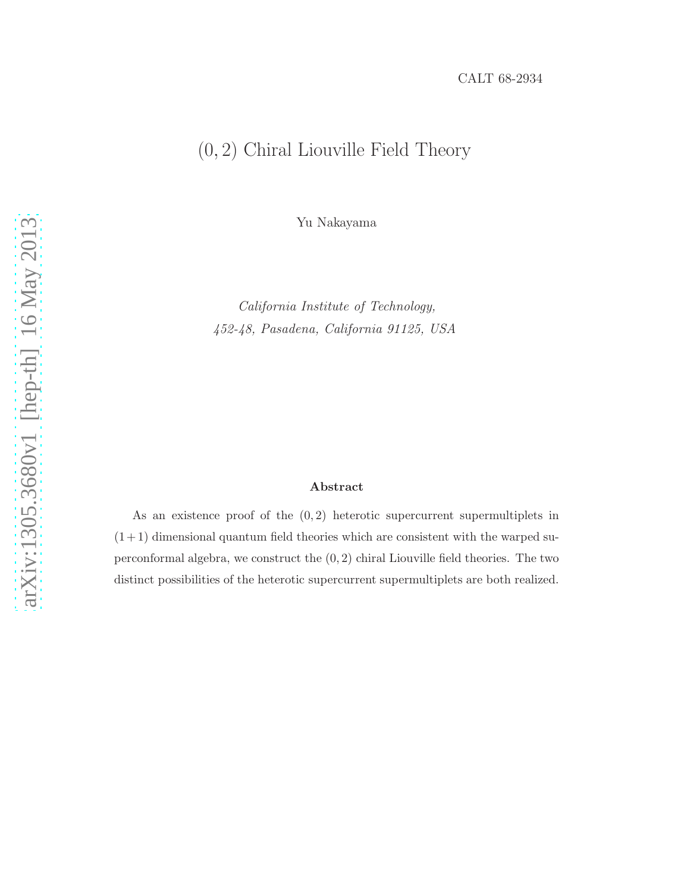## (0, 2) Chiral Liouville Field Theory

Yu Nakayama

California Institute of Technology, 452-48, Pasadena, California 91125, USA

#### Abstract

As an existence proof of the  $(0, 2)$  heterotic supercurrent supermultiplets in  $(1+1)$  dimensional quantum field theories which are consistent with the warped superconformal algebra, we construct the  $(0, 2)$  chiral Liouville field theories. The two distinct possibilities of the heterotic supercurrent supermultiplets are both realized.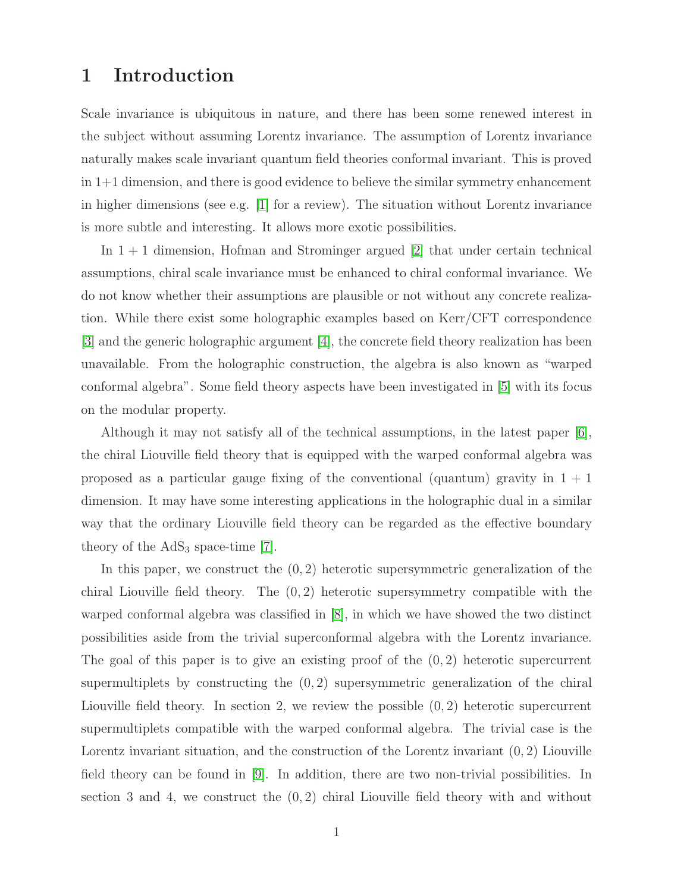## 1 Introduction

Scale invariance is ubiquitous in nature, and there has been some renewed interest in the subject without assuming Lorentz invariance. The assumption of Lorentz invariance naturally makes scale invariant quantum field theories conformal invariant. This is proved in 1+1 dimension, and there is good evidence to believe the similar symmetry enhancement in higher dimensions (see e.g. [\[1\]](#page-10-0) for a review). The situation without Lorentz invariance is more subtle and interesting. It allows more exotic possibilities.

In  $1 + 1$  dimension, Hofman and Strominger argued [\[2\]](#page-11-0) that under certain technical assumptions, chiral scale invariance must be enhanced to chiral conformal invariance. We do not know whether their assumptions are plausible or not without any concrete realization. While there exist some holographic examples based on Kerr/CFT correspondence [\[3\]](#page-11-1) and the generic holographic argument [\[4\]](#page-11-2), the concrete field theory realization has been unavailable. From the holographic construction, the algebra is also known as "warped conformal algebra". Some field theory aspects have been investigated in [\[5\]](#page-11-3) with its focus on the modular property.

Although it may not satisfy all of the technical assumptions, in the latest paper [\[6\]](#page-11-4), the chiral Liouville field theory that is equipped with the warped conformal algebra was proposed as a particular gauge fixing of the conventional (quantum) gravity in  $1 + 1$ dimension. It may have some interesting applications in the holographic dual in a similar way that the ordinary Liouville field theory can be regarded as the effective boundary theory of the  $AdS_3$  space-time [\[7\]](#page-11-5).

In this paper, we construct the  $(0, 2)$  heterotic supersymmetric generalization of the chiral Liouville field theory. The  $(0, 2)$  heterotic supersymmetry compatible with the warped conformal algebra was classified in [\[8\]](#page-11-6), in which we have showed the two distinct possibilities aside from the trivial superconformal algebra with the Lorentz invariance. The goal of this paper is to give an existing proof of the  $(0, 2)$  heterotic supercurrent supermultiplets by constructing the  $(0, 2)$  supersymmetric generalization of the chiral Liouville field theory. In section 2, we review the possible  $(0, 2)$  heterotic supercurrent supermultiplets compatible with the warped conformal algebra. The trivial case is the Lorentz invariant situation, and the construction of the Lorentz invariant (0, 2) Liouville field theory can be found in [\[9\]](#page-11-7). In addition, there are two non-trivial possibilities. In section 3 and 4, we construct the  $(0, 2)$  chiral Liouville field theory with and without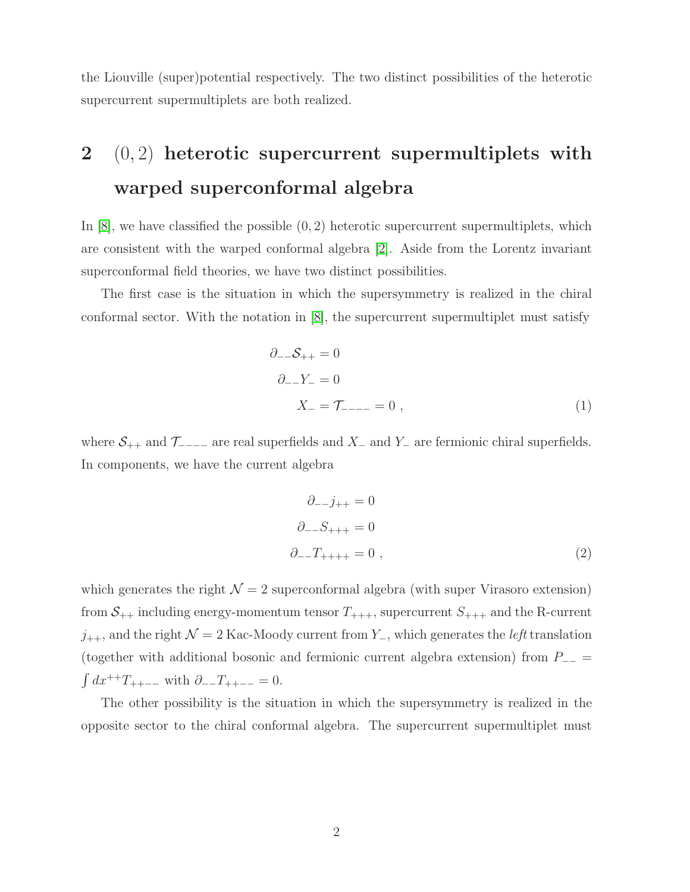the Liouville (super)potential respectively. The two distinct possibilities of the heterotic supercurrent supermultiplets are both realized.

# 2  $(0, 2)$  heterotic supercurrent supermultiplets with warped superconformal algebra

In  $[8]$ , we have classified the possible  $(0, 2)$  heterotic supercurrent supermultiplets, which are consistent with the warped conformal algebra [\[2\]](#page-11-0). Aside from the Lorentz invariant superconformal field theories, we have two distinct possibilities.

The first case is the situation in which the supersymmetry is realized in the chiral conformal sector. With the notation in [\[8\]](#page-11-6), the supercurrent supermultiplet must satisfy

$$
\partial_{-}S_{++} = 0
$$
  
\n
$$
\partial_{-}Y_{-} = 0
$$
  
\n
$$
X_{-} = \mathcal{T}_{---} = 0,
$$
\n(1)

where  $S_{++}$  and  $\mathcal{T}_{---}$  are real superfields and  $X_-\$  and  $Y_-\$  are fermionic chiral superfields. In components, we have the current algebra

<span id="page-2-0"></span>
$$
\partial_{--} j_{++} = 0
$$
  

$$
\partial_{--} S_{+++} = 0
$$
  

$$
\partial_{--} T_{+++} = 0 , \qquad (2)
$$

which generates the right  $\mathcal{N} = 2$  superconformal algebra (with super Virasoro extension) from  $S_{++}$  including energy-momentum tensor  $T_{+++}$ , supercurrent  $S_{+++}$  and the R-current  $j_{++}$ , and the right  $\mathcal{N} = 2$  Kac-Moody current from  $Y_{-}$ , which generates the *left* translation (together with additional bosonic and fermionic current algebra extension) from  $P_{-+}$  $\int dx^{++}T_{++--}$  with  $\partial_{--}T_{++--} = 0$ .

The other possibility is the situation in which the supersymmetry is realized in the opposite sector to the chiral conformal algebra. The supercurrent supermultiplet must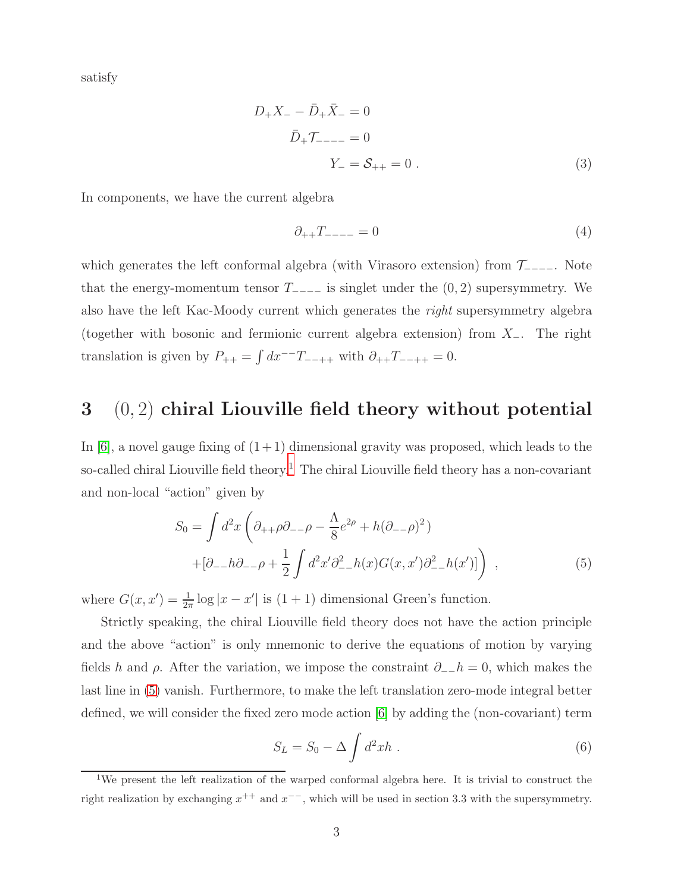satisfy

$$
D_{+}X_{-} - \bar{D}_{+}\bar{X}_{-} = 0
$$
  

$$
\bar{D}_{+}\mathcal{T}_{---} = 0
$$
  

$$
Y_{-} = \mathcal{S}_{++} = 0.
$$
 (3)

In components, we have the current algebra

<span id="page-3-2"></span>
$$
\partial_{++}T_{---} = 0 \tag{4}
$$

which generates the left conformal algebra (with Virasoro extension) from  $\mathcal{T}_{---}$ . Note that the energy-momentum tensor  $T_{---}$  is singlet under the  $(0, 2)$  supersymmetry. We also have the left Kac-Moody current which generates the right supersymmetry algebra (together with bosonic and fermionic current algebra extension) from  $X_-\$ . The right translation is given by  $P_{++} = \int dx^{--}T_{--++}$  with  $\partial_{++}T_{--++} = 0$ .

## $3 \quad (0, 2)$  chiral Liouville field theory without potential

In [\[6\]](#page-11-4), a novel gauge fixing of  $(1+1)$  dimensional gravity was proposed, which leads to the so-called chiral Liouville field theory.<sup>[1](#page-3-0)</sup> The chiral Liouville field theory has a non-covariant and non-local "action" given by

$$
S_0 = \int d^2x \left( \partial_{++} \rho \partial_{--} \rho - \frac{\Lambda}{8} e^{2\rho} + h(\partial_{--} \rho)^2 \right) + [\partial_{--} h \partial_{--} \rho + \frac{1}{2} \int d^2x' \partial_{--}^2 h(x) G(x, x') \partial_{--}^2 h(x')] \right) ,
$$
 (5)

where  $G(x, x') = \frac{1}{2\pi} \log |x - x'|$  is  $(1 + 1)$  dimensional Green's function.

Strictly speaking, the chiral Liouville field theory does not have the action principle and the above "action" is only mnemonic to derive the equations of motion by varying fields h and  $\rho$ . After the variation, we impose the constraint  $\partial_-\bar{h}=0$ , which makes the last line in [\(5\)](#page-3-1) vanish. Furthermore, to make the left translation zero-mode integral better defined, we will consider the fixed zero mode action [\[6\]](#page-11-4) by adding the (non-covariant) term

<span id="page-3-1"></span>
$$
S_L = S_0 - \Delta \int d^2x h . \qquad (6)
$$

<span id="page-3-0"></span><sup>&</sup>lt;sup>1</sup>We present the left realization of the warped conformal algebra here. It is trivial to construct the right realization by exchanging  $x^{++}$  and  $x^{--}$ , which will be used in section 3.3 with the supersymmetry.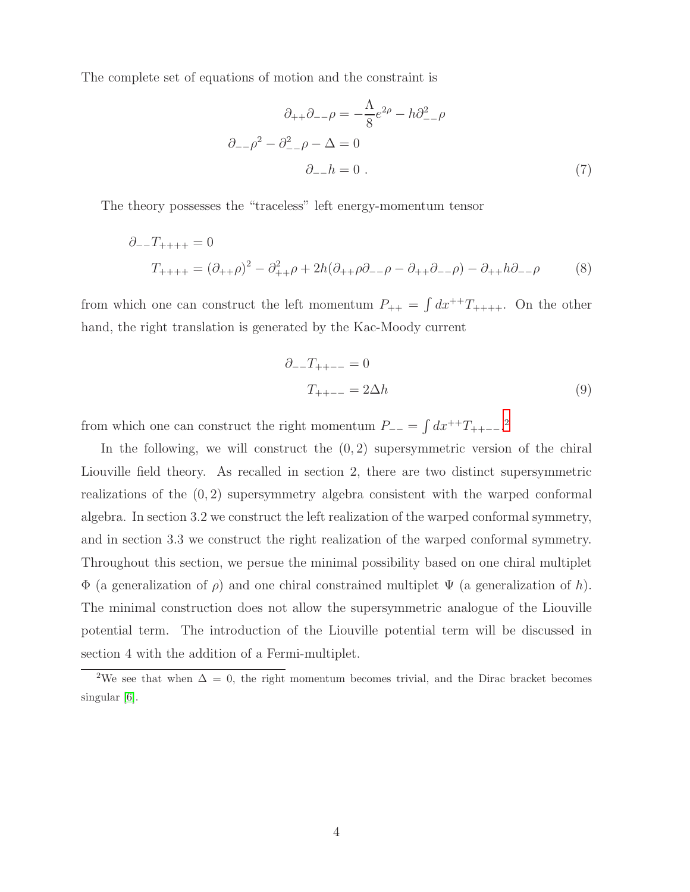The complete set of equations of motion and the constraint is

$$
\partial_{++}\partial_{--}\rho = -\frac{\Lambda}{8}e^{2\rho} - h\partial_{--}^2\rho
$$

$$
\partial_{--}\rho^2 - \partial_{--}^2\rho - \Delta = 0
$$

$$
\partial_{--}h = 0.
$$
 (7)

The theory possesses the "traceless" left energy-momentum tensor

$$
\partial_{--}T_{+++} = 0
$$
  
\n
$$
T_{+++} = (\partial_{++}\rho)^2 - \partial_{++}^2 \rho + 2h(\partial_{++}\rho\partial_{--}\rho - \partial_{++}\partial_{--}\rho) - \partial_{++}h\partial_{--}\rho
$$
 (8)

from which one can construct the left momentum  $P_{++} = \int dx^{++}T_{+++}$ . On the other hand, the right translation is generated by the Kac-Moody current

$$
\partial_{--}T_{++--} = 0
$$
  

$$
T_{++--} = 2\Delta h
$$
 (9)

from which one can construct the right momentum  $P_{--} = \int dx^{++}T_{++--}$ <sup>[2](#page-4-0)</sup>

In the following, we will construct the  $(0, 2)$  supersymmetric version of the chiral Liouville field theory. As recalled in section 2, there are two distinct supersymmetric realizations of the  $(0, 2)$  supersymmetry algebra consistent with the warped conformal algebra. In section 3.2 we construct the left realization of the warped conformal symmetry, and in section 3.3 we construct the right realization of the warped conformal symmetry. Throughout this section, we persue the minimal possibility based on one chiral multiplet Φ (a generalization of ρ) and one chiral constrained multiplet Ψ (a generalization of h). The minimal construction does not allow the supersymmetric analogue of the Liouville potential term. The introduction of the Liouville potential term will be discussed in section 4 with the addition of a Fermi-multiplet.

<span id="page-4-0"></span><sup>&</sup>lt;sup>2</sup>We see that when  $\Delta = 0$ , the right momentum becomes trivial, and the Dirac bracket becomes singular [\[6\]](#page-11-4).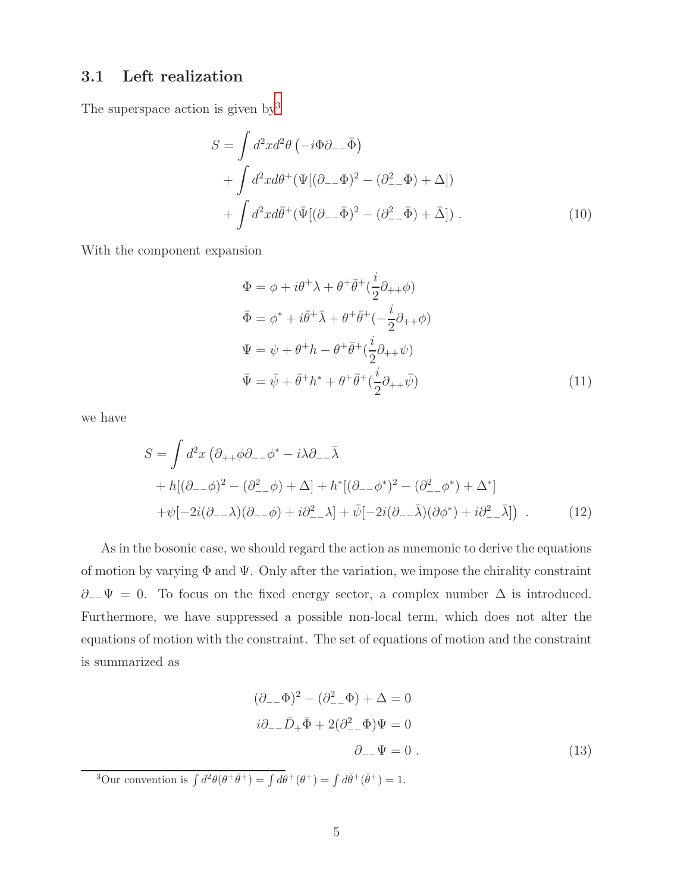### 3.1 Left realization

The superspace action is given by<sup>[3](#page-5-0)</sup>

$$
S = \int d^2x d^2\theta \left( -i\Phi \partial_{--}\bar{\Phi} \right)
$$
  
+ 
$$
\int d^2x d\theta^+ (\Psi[(\partial_{--}\Phi)^2 - (\partial_{--}^2\Phi) + \Delta])
$$
  
+ 
$$
\int d^2x d\bar{\theta}^+ (\bar{\Psi}[(\partial_{--}\bar{\Phi})^2 - (\partial_{--}^2\bar{\Phi}) + \bar{\Delta}]).
$$
 (10)

With the component expansion

<span id="page-5-1"></span>
$$
\Phi = \phi + i\theta^{+}\lambda + \theta^{+}\bar{\theta}^{+}(\frac{i}{2}\partial_{++}\phi)
$$
  
\n
$$
\bar{\Phi} = \phi^{*} + i\bar{\theta}^{+}\bar{\lambda} + \theta^{+}\bar{\theta}^{+}(-\frac{i}{2}\partial_{++}\phi)
$$
  
\n
$$
\Psi = \psi + \theta^{+}h - \theta^{+}\bar{\theta}^{+}(\frac{i}{2}\partial_{++}\psi)
$$
  
\n
$$
\bar{\Psi} = \bar{\psi} + \bar{\theta}^{+}h^{*} + \theta^{+}\bar{\theta}^{+}(\frac{i}{2}\partial_{++}\bar{\psi})
$$
\n(11)

we have

$$
S = \int d^2x \left( \partial_{++} \phi \partial_{--} \phi^* - i \lambda \partial_{--} \bar{\lambda} \right)
$$
  
+ 
$$
h[(\partial_{--} \phi)^2 - (\partial_{--}^2 \phi) + \Delta] + h^*[(\partial_{--} \phi^*)^2 - (\partial_{--}^2 \phi^*) + \Delta^*]
$$
  
+ 
$$
\psi[-2i(\partial_{--}\lambda)(\partial_{--}\phi) + i\partial_{--}^2 \lambda] + \bar{\psi}[-2i(\partial_{--}\bar{\lambda})(\partial \phi^*) + i\partial_{--}^2 \bar{\lambda}]\right).
$$
 (12)

As in the bosonic case, we should regard the action as mnemonic to derive the equations of motion by varying Φ and Ψ. Only after the variation, we impose the chirality constraint  $∂<sub>−</sub>Ψ = 0$ . To focus on the fixed energy sector, a complex number  $Δ$  is introduced. Furthermore, we have suppressed a possible non-local term, which does not alter the equations of motion with the constraint. The set of equations of motion and the constraint is summarized as

$$
(\partial_{--}\Phi)^2 - (\partial_{--}^2\Phi) + \Delta = 0
$$
  

$$
i\partial_{--}\bar{D}_+ \bar{\Phi} + 2(\partial_{--}^2\Phi)\Psi = 0
$$
  

$$
\partial_{--}\Psi = 0.
$$
 (13)

<span id="page-5-0"></span><sup>3</sup>Our convention is  $\int d^2\theta(\theta^+\bar{\theta}^+) = \int d\theta^+(\theta^+) = \int d\bar{\theta}^+(\bar{\theta}^+) = 1$ .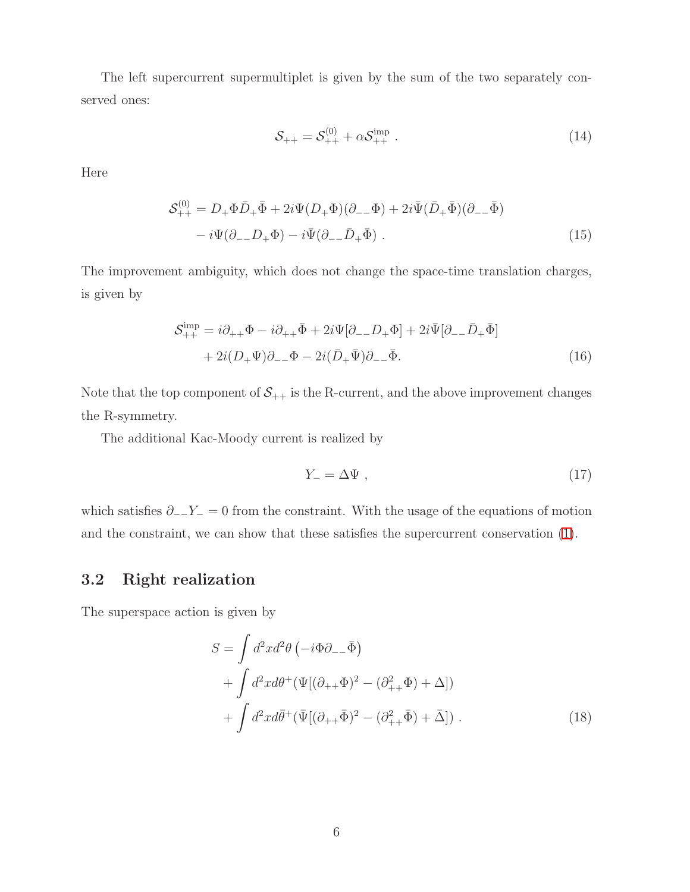The left supercurrent supermultiplet is given by the sum of the two separately conserved ones:

<span id="page-6-1"></span>
$$
S_{++} = S_{++}^{(0)} + \alpha S_{++}^{\text{imp}} \tag{14}
$$

Here

$$
\mathcal{S}_{++}^{(0)} = D_+ \Phi \bar{D}_+ \bar{\Phi} + 2i\Psi (D_+ \Phi)(\partial_- \Phi) + 2i\bar{\Psi} (\bar{D}_+ \bar{\Phi})(\partial_- \bar{\Phi})
$$

$$
-i\Psi (\partial_- D_+ \Phi) - i\bar{\Psi} (\partial_- \bar{D}_+ \bar{\Phi}) . \tag{15}
$$

The improvement ambiguity, which does not change the space-time translation charges, is given by

$$
\mathcal{S}_{++}^{\text{imp}} = i\partial_{++}\Phi - i\partial_{++}\bar{\Phi} + 2i\Psi[\partial_{--}D_{+}\Phi] + 2i\bar{\Psi}[\partial_{--}\bar{D}_{+}\bar{\Phi}] + 2i(D_{+}\Psi)\partial_{--}\Phi - 2i(\bar{D}_{+}\bar{\Psi})\partial_{--}\bar{\Phi}.
$$
\n(16)

Note that the top component of  $S_{++}$  is the R-current, and the above improvement changes the R-symmetry.

The additional Kac-Moody current is realized by

<span id="page-6-0"></span>
$$
Y_- = \Delta \Psi \t{, \t(17)}
$$

which satisfies  $\partial_{-}Y_{-} = 0$  from the constraint. With the usage of the equations of motion and the constraint, we can show that these satisfies the supercurrent conservation [\(1\)](#page-2-0).

### 3.2 Right realization

The superspace action is given by

$$
S = \int d^2x d^2\theta \left( -i\Phi \partial_{-} \bar{\Phi} \right)
$$
  
+ 
$$
\int d^2x d\theta^+ (\Psi[(\partial_{++}\Phi)^2 - (\partial_{++}^2 \Phi) + \Delta])
$$
  
+ 
$$
\int d^2x d\bar{\theta}^+ (\bar{\Psi}[(\partial_{++}\bar{\Phi})^2 - (\partial_{++}^2 \bar{\Phi}) + \bar{\Delta}]).
$$
 (18)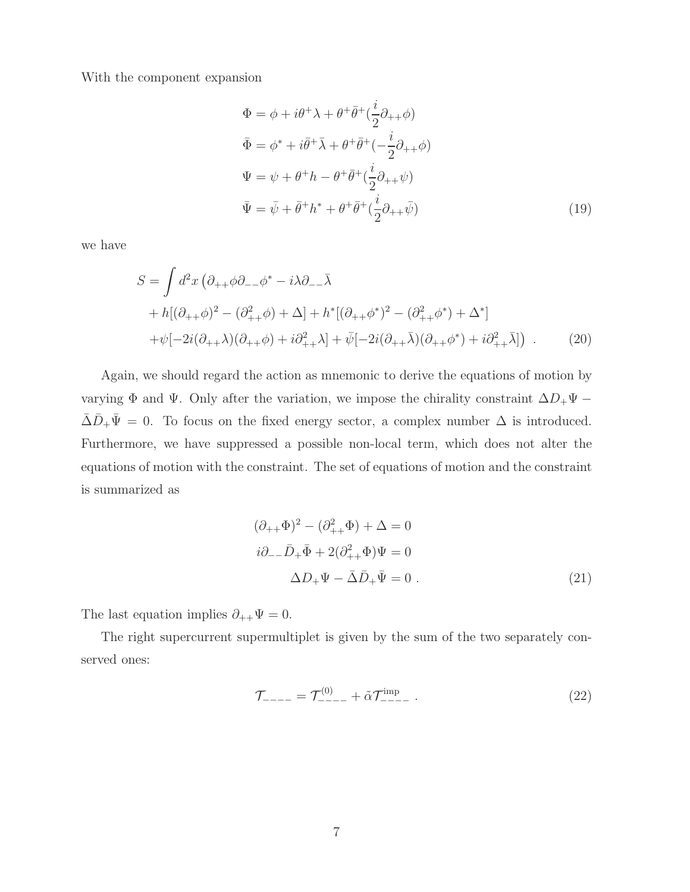With the component expansion

$$
\Phi = \phi + i\theta^{+}\lambda + \theta^{+}\bar{\theta}^{+}(\frac{i}{2}\partial_{++}\phi)
$$
  
\n
$$
\bar{\Phi} = \phi^{*} + i\bar{\theta}^{+}\bar{\lambda} + \theta^{+}\bar{\theta}^{+}(-\frac{i}{2}\partial_{++}\phi)
$$
  
\n
$$
\Psi = \psi + \theta^{+}h - \theta^{+}\bar{\theta}^{+}(\frac{i}{2}\partial_{++}\psi)
$$
  
\n
$$
\bar{\Psi} = \bar{\psi} + \bar{\theta}^{+}h^{*} + \theta^{+}\bar{\theta}^{+}(\frac{i}{2}\partial_{++}\bar{\psi})
$$
\n(19)

we have

$$
S = \int d^2x \left( \partial_{++} \phi \partial_{--} \phi^* - i \lambda \partial_{--} \bar{\lambda} \right. \n+ h[(\partial_{++} \phi)^2 - (\partial_{++}^2 \phi) + \Delta] + h^*[(\partial_{++} \phi^*)^2 - (\partial_{++}^2 \phi^*) + \Delta^*] \n+ \psi[-2i(\partial_{++} \lambda)(\partial_{++} \phi) + i \partial_{++}^2 \lambda] + \bar{\psi}[-2i(\partial_{++} \bar{\lambda})(\partial_{++} \phi^*) + i \partial_{++}^2 \bar{\lambda}] \right) .
$$
\n(20)

Again, we should regard the action as mnemonic to derive the equations of motion by varying  $\Phi$  and  $\Psi$ . Only after the variation, we impose the chirality constraint  $\Delta D_+\Psi$  −  $\overline{\Delta}\overline{D}_{+}\overline{\Psi} = 0$ . To focus on the fixed energy sector, a complex number  $\Delta$  is introduced. Furthermore, we have suppressed a possible non-local term, which does not alter the equations of motion with the constraint. The set of equations of motion and the constraint is summarized as

$$
(\partial_{++}\Phi)^2 - (\partial_{++}^2\Phi) + \Delta = 0
$$
  

$$
i\partial_{--}\bar{D}_{+}\bar{\Phi} + 2(\partial_{++}^2\Phi)\Psi = 0
$$
  

$$
\Delta D_{+}\Psi - \bar{\Delta}\bar{D}_{+}\bar{\Psi} = 0.
$$
 (21)

The last equation implies  $\partial_{++}\Psi=0$ .

The right supercurrent supermultiplet is given by the sum of the two separately conserved ones:

<span id="page-7-0"></span>
$$
\mathcal{T}_{---} = \mathcal{T}^{(0)}_{---} + \tilde{\alpha} \mathcal{T}^{\text{imp}}_{---} \ . \tag{22}
$$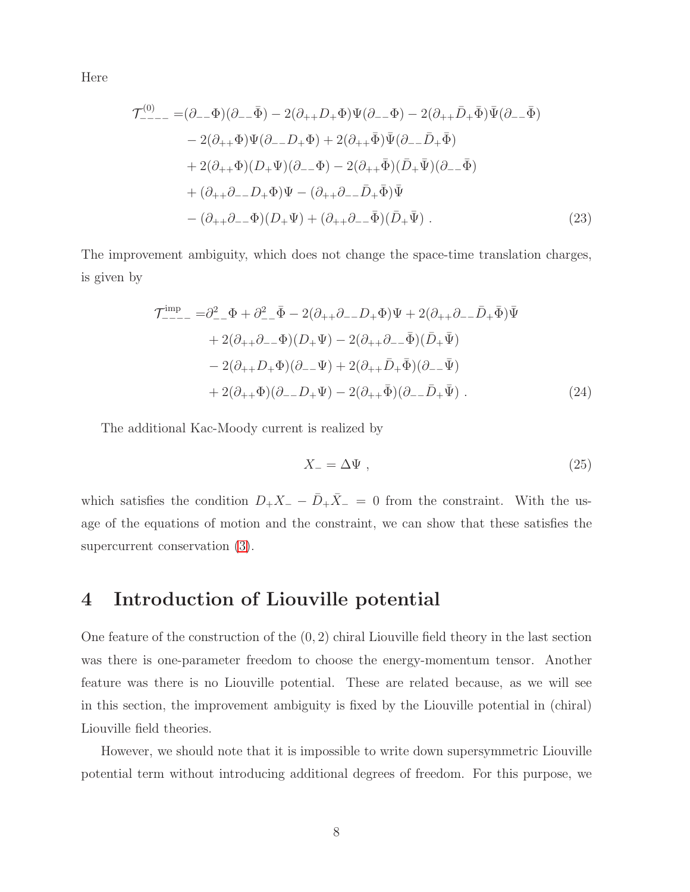Here

$$
\mathcal{T}^{(0)}_{---} = (\partial_{--}\Phi)(\partial_{--}\bar{\Phi}) - 2(\partial_{++}D_{+}\Phi)\Psi(\partial_{--}\Phi) - 2(\partial_{++}\bar{D}_{+}\bar{\Phi})\bar{\Psi}(\partial_{--}\bar{\Phi})
$$
  
\n
$$
- 2(\partial_{++}\Phi)\Psi(\partial_{--}D_{+}\Phi) + 2(\partial_{++}\bar{\Phi})\bar{\Psi}(\partial_{--}\bar{D}_{+}\bar{\Phi})
$$
  
\n
$$
+ 2(\partial_{++}\Phi)(D_{+}\Psi)(\partial_{--}\Phi) - 2(\partial_{++}\bar{\Phi})(\bar{D}_{+}\bar{\Psi})(\partial_{--}\bar{\Phi})
$$
  
\n
$$
+ (\partial_{++}\partial_{--}D_{+}\Phi)\Psi - (\partial_{++}\partial_{--}\bar{D}_{+}\bar{\Phi})\bar{\Psi}
$$
  
\n
$$
- (\partial_{++}\partial_{--}\Phi)(D_{+}\Psi) + (\partial_{++}\partial_{--}\bar{\Phi})(\bar{D}_{+}\bar{\Psi}) . \tag{23}
$$

The improvement ambiguity, which does not change the space-time translation charges, is given by

$$
\mathcal{T}^{\text{imp}}_{---} = \partial_{--}^{2} \Phi + \partial_{--}^{2} \bar{\Phi} - 2(\partial_{++}\partial_{--}D_{+}\Phi)\Psi + 2(\partial_{++}\partial_{--}\bar{D}_{+}\bar{\Phi})\bar{\Psi} \n+ 2(\partial_{++}\partial_{--}\Phi)(D_{+}\Psi) - 2(\partial_{++}\partial_{--}\bar{\Phi})(\bar{D}_{+}\bar{\Psi}) \n- 2(\partial_{++}D_{+}\Phi)(\partial_{--}\Psi) + 2(\partial_{++}\bar{D}_{+}\bar{\Phi})(\partial_{--}\bar{\Psi}) \n+ 2(\partial_{++}\Phi)(\partial_{--}D_{+}\Psi) - 2(\partial_{++}\bar{\Phi})(\partial_{--}\bar{D}_{+}\bar{\Psi}) .
$$
\n(24)

The additional Kac-Moody current is realized by

$$
X_{-} = \Delta \Psi , \qquad (25)
$$

which satisfies the condition  $D_+X_-\,-\,\bar{D}_+\bar{X}_-\,=\,0$  from the constraint. With the usage of the equations of motion and the constraint, we can show that these satisfies the supercurrent conservation [\(3\)](#page-3-2).

## 4 Introduction of Liouville potential

One feature of the construction of the (0, 2) chiral Liouville field theory in the last section was there is one-parameter freedom to choose the energy-momentum tensor. Another feature was there is no Liouville potential. These are related because, as we will see in this section, the improvement ambiguity is fixed by the Liouville potential in (chiral) Liouville field theories.

However, we should note that it is impossible to write down supersymmetric Liouville potential term without introducing additional degrees of freedom. For this purpose, we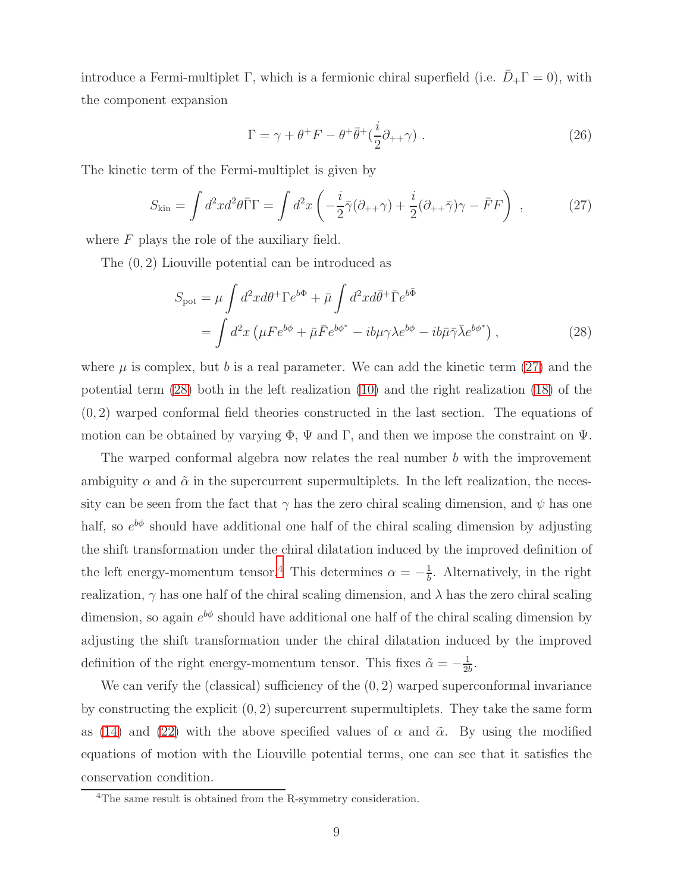introduce a Fermi-multiplet Γ, which is a fermionic chiral superfield (i.e.  $D_+\Gamma = 0$ ), with the component expansion

<span id="page-9-1"></span><span id="page-9-0"></span>
$$
\Gamma = \gamma + \theta^+ F - \theta^+ \bar{\theta}^+ (\frac{i}{2} \partial_{++} \gamma) \ . \tag{26}
$$

The kinetic term of the Fermi-multiplet is given by

$$
S_{\rm kin} = \int d^2x d^2\theta \bar{\Gamma}\Gamma = \int d^2x \left( -\frac{i}{2} \bar{\gamma} (\partial_{++} \gamma) + \frac{i}{2} (\partial_{++} \bar{\gamma}) \gamma - \bar{F}F \right) , \qquad (27)
$$

where  $F$  plays the role of the auxiliary field.

The (0, 2) Liouville potential can be introduced as

$$
S_{\rm pot} = \mu \int d^2x d\theta^+ \Gamma e^{b\Phi} + \bar{\mu} \int d^2x d\bar{\theta}^+ \bar{\Gamma} e^{b\bar{\Phi}}
$$
  
= 
$$
\int d^2x \left( \mu F e^{b\phi} + \bar{\mu} \bar{F} e^{b\phi^*} - ib\mu \gamma \lambda e^{b\phi} - ib\bar{\mu} \bar{\gamma} \bar{\lambda} e^{b\phi^*} \right),
$$
 (28)

where  $\mu$  is complex, but b is a real parameter. We can add the kinetic term [\(27\)](#page-9-0) and the potential term [\(28\)](#page-9-1) both in the left realization [\(10\)](#page-5-1) and the right realization [\(18\)](#page-6-0) of the (0, 2) warped conformal field theories constructed in the last section. The equations of motion can be obtained by varying  $\Phi$ ,  $\Psi$  and  $\Gamma$ , and then we impose the constraint on  $\Psi$ .

The warped conformal algebra now relates the real number b with the improvement ambiguity  $\alpha$  and  $\tilde{\alpha}$  in the supercurrent supermultiplets. In the left realization, the necessity can be seen from the fact that  $\gamma$  has the zero chiral scaling dimension, and  $\psi$  has one half, so  $e^{b\phi}$  should have additional one half of the chiral scaling dimension by adjusting the shift transformation under the chiral dilatation induced by the improved definition of the left energy-momentum tensor.<sup>[4](#page-9-2)</sup> This determines  $\alpha = -\frac{1}{b}$  $\frac{1}{b}$ . Alternatively, in the right realization,  $\gamma$  has one half of the chiral scaling dimension, and  $\lambda$  has the zero chiral scaling dimension, so again  $e^{b\phi}$  should have additional one half of the chiral scaling dimension by adjusting the shift transformation under the chiral dilatation induced by the improved definition of the right energy-momentum tensor. This fixes  $\tilde{\alpha} = -\frac{1}{2l}$  $\frac{1}{2b}$ .

We can verify the (classical) sufficiency of the  $(0, 2)$  warped superconformal invariance by constructing the explicit  $(0, 2)$  supercurrent supermultiplets. They take the same form as [\(14\)](#page-6-1) and [\(22\)](#page-7-0) with the above specified values of  $\alpha$  and  $\tilde{\alpha}$ . By using the modified equations of motion with the Liouville potential terms, one can see that it satisfies the conservation condition.

<span id="page-9-2"></span><sup>&</sup>lt;sup>4</sup>The same result is obtained from the R-symmetry consideration.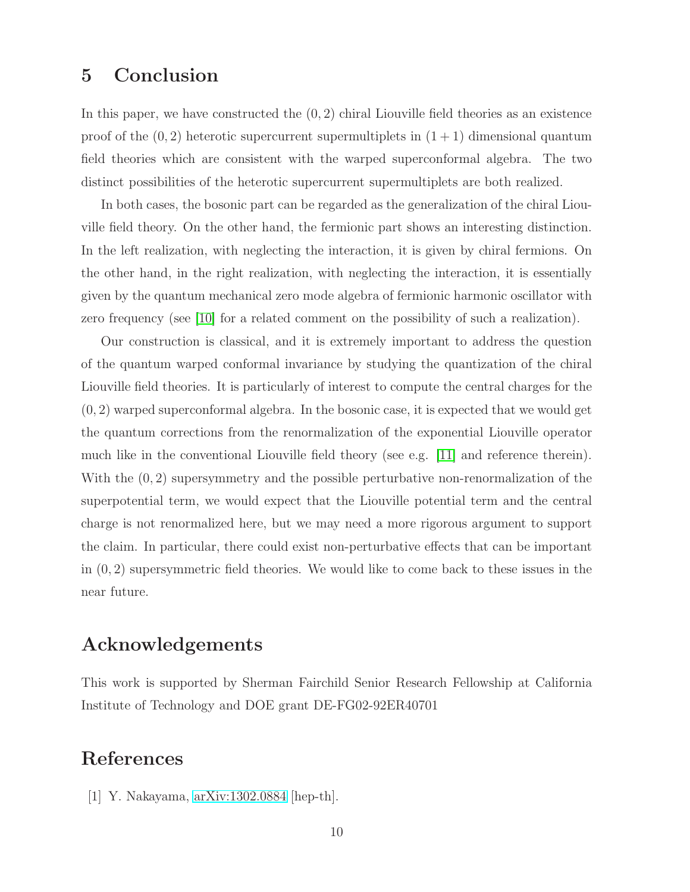## 5 Conclusion

In this paper, we have constructed the  $(0, 2)$  chiral Liouville field theories as an existence proof of the  $(0, 2)$  heterotic supercurrent supermultiplets in  $(1 + 1)$  dimensional quantum field theories which are consistent with the warped superconformal algebra. The two distinct possibilities of the heterotic supercurrent supermultiplets are both realized.

In both cases, the bosonic part can be regarded as the generalization of the chiral Liouville field theory. On the other hand, the fermionic part shows an interesting distinction. In the left realization, with neglecting the interaction, it is given by chiral fermions. On the other hand, in the right realization, with neglecting the interaction, it is essentially given by the quantum mechanical zero mode algebra of fermionic harmonic oscillator with zero frequency (see [\[10\]](#page-11-8) for a related comment on the possibility of such a realization).

Our construction is classical, and it is extremely important to address the question of the quantum warped conformal invariance by studying the quantization of the chiral Liouville field theories. It is particularly of interest to compute the central charges for the  $(0, 2)$  warped superconformal algebra. In the bosonic case, it is expected that we would get the quantum corrections from the renormalization of the exponential Liouville operator much like in the conventional Liouville field theory (see e.g. [\[11\]](#page-11-9) and reference therein). With the  $(0, 2)$  supersymmetry and the possible perturbative non-renormalization of the superpotential term, we would expect that the Liouville potential term and the central charge is not renormalized here, but we may need a more rigorous argument to support the claim. In particular, there could exist non-perturbative effects that can be important in  $(0, 2)$  supersymmetric field theories. We would like to come back to these issues in the near future.

## Acknowledgements

This work is supported by Sherman Fairchild Senior Research Fellowship at California Institute of Technology and DOE grant DE-FG02-92ER40701

## <span id="page-10-0"></span>References

[1] Y. Nakayama, [arXiv:1302.0884](http://arxiv.org/abs/1302.0884) [hep-th].